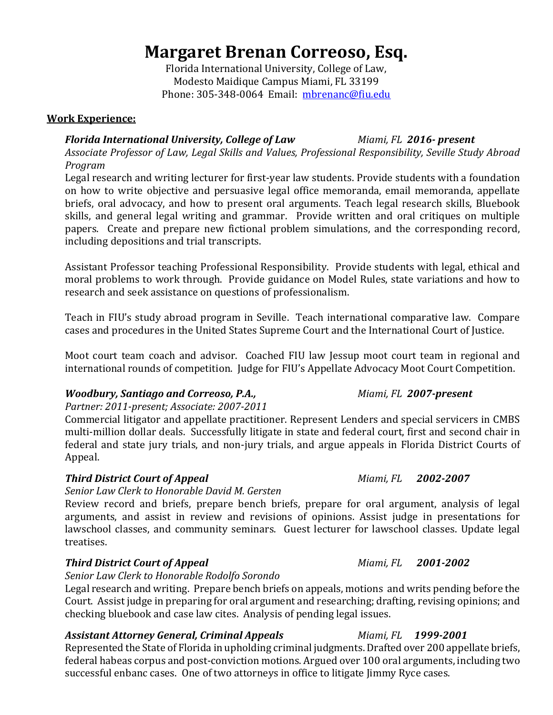# **Margaret Brenan Correoso, Esq.**

Florida International University, College of Law, Modesto Maidique Campus Miami, FL 33199 Phone: 305-348-0064 Email: [mbrenanc@fiu.edu](mailto:mbrenanc@fiu.edu)

# **Work Experience:**

# *Florida International University, College of Law Miami, FL 2016- present*

*Associate Professor of Law, Legal Skills and Values, Professional Responsibility, Seville Study Abroad Program*

Legal research and writing lecturer for first-year law students. Provide students with a foundation on how to write objective and persuasive legal office memoranda, email memoranda, appellate briefs, oral advocacy, and how to present oral arguments. Teach legal research skills, Bluebook skills, and general legal writing and grammar. Provide written and oral critiques on multiple papers. Create and prepare new fictional problem simulations, and the corresponding record, including depositions and trial transcripts.

Assistant Professor teaching Professional Responsibility. Provide students with legal, ethical and moral problems to work through. Provide guidance on Model Rules, state variations and how to research and seek assistance on questions of professionalism.

Teach in FIU's study abroad program in Seville. Teach international comparative law. Compare cases and procedures in the United States Supreme Court and the International Court of Justice.

Moot court team coach and advisor. Coached FIU law Jessup moot court team in regional and international rounds of competition. Judge for FIU's Appellate Advocacy Moot Court Competition.

# *Woodbury, Santiago and Correoso, P.A., Miami, FL 2007-present*

### *Partner: 2011-present; Associate: 2007-2011*

Commercial litigator and appellate practitioner. Represent Lenders and special servicers in CMBS multi-million dollar deals. Successfully litigate in state and federal court, first and second chair in federal and state jury trials, and non-jury trials, and argue appeals in Florida District Courts of Appeal.

# *Third District Court of Appeal Miami, FL 2002-2007*

*Senior Law Clerk to Honorable David M. Gersten*

Review record and briefs, prepare bench briefs, prepare for oral argument, analysis of legal arguments, and assist in review and revisions of opinions. Assist judge in presentations for lawschool classes, and community seminars. Guest lecturer for lawschool classes. Update legal treatises.

# *Third District Court of Appeal Miami, FL 2001-2002*

### *Senior Law Clerk to Honorable Rodolfo Sorondo*

Legal research and writing. Prepare bench briefs on appeals, motions and writs pending before the Court. Assist judge in preparing for oral argument and researching; drafting, revising opinions; and checking bluebook and case law cites. Analysis of pending legal issues.

### *Assistant Attorney General, Criminal Appeals Miami, FL 1999-2001*

Represented the State of Florida in upholding criminal judgments. Drafted over 200 appellate briefs, federal habeas corpus and post-conviction motions. Argued over 100 oral arguments, including two successful enbanc cases. One of two attorneys in office to litigate Jimmy Ryce cases.